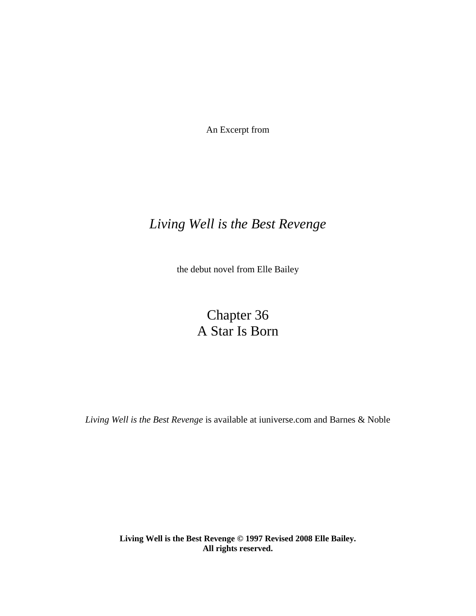An Excerpt from

### *Living Well is the Best Revenge*

the debut novel from Elle Bailey

## Chapter 36 A Star Is Born

*Living Well is the Best Revenge* is available at iuniverse.com and Barnes & Noble

**Living Well is the Best Revenge © 1997 Revised 2008 Elle Bailey. All rights reserved.**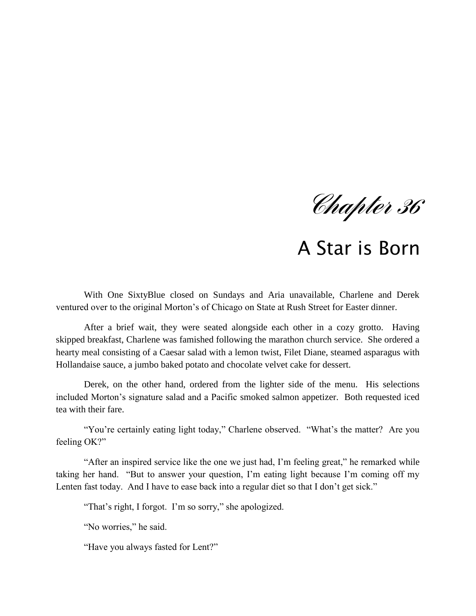*Chapter 36*

# A Star is Born

With One SixtyBlue closed on Sundays and Aria unavailable, Charlene and Derek ventured over to the original Morton"s of Chicago on State at Rush Street for Easter dinner.

After a brief wait, they were seated alongside each other in a cozy grotto. Having skipped breakfast, Charlene was famished following the marathon church service. She ordered a hearty meal consisting of a Caesar salad with a lemon twist, Filet Diane, steamed asparagus with Hollandaise sauce, a jumbo baked potato and chocolate velvet cake for dessert.

Derek, on the other hand, ordered from the lighter side of the menu. His selections included Morton"s signature salad and a Pacific smoked salmon appetizer. Both requested iced tea with their fare.

"You're certainly eating light today," Charlene observed. "What's the matter? Are you feeling OK?"

"After an inspired service like the one we just had, I"m feeling great," he remarked while taking her hand. "But to answer your question, I"m eating light because I"m coming off my Lenten fast today. And I have to ease back into a regular diet so that I don't get sick."

"That's right, I forgot. I'm so sorry," she apologized.

"No worries," he said.

"Have you always fasted for Lent?"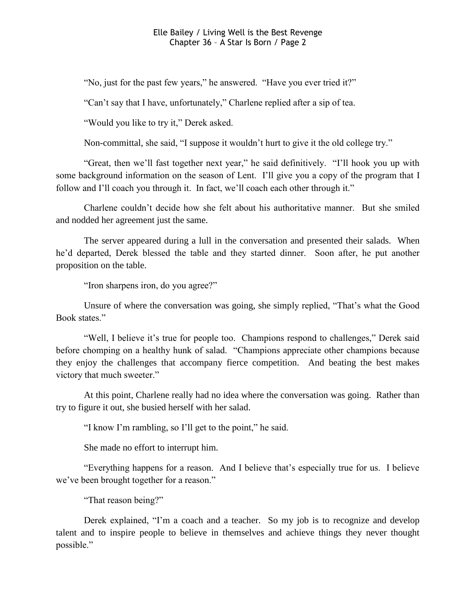"No, just for the past few years," he answered. "Have you ever tried it?"

"Can"t say that I have, unfortunately," Charlene replied after a sip of tea.

"Would you like to try it," Derek asked.

Non-committal, she said, "I suppose it wouldn"t hurt to give it the old college try."

"Great, then we"ll fast together next year," he said definitively. "I"ll hook you up with some background information on the season of Lent. I"ll give you a copy of the program that I follow and I'll coach you through it. In fact, we'll coach each other through it."

Charlene couldn"t decide how she felt about his authoritative manner. But she smiled and nodded her agreement just the same.

The server appeared during a lull in the conversation and presented their salads. When he"d departed, Derek blessed the table and they started dinner. Soon after, he put another proposition on the table.

"Iron sharpens iron, do you agree?"

Unsure of where the conversation was going, she simply replied, "That"s what the Good Book states."

"Well, I believe it's true for people too. Champions respond to challenges," Derek said before chomping on a healthy hunk of salad. "Champions appreciate other champions because they enjoy the challenges that accompany fierce competition. And beating the best makes victory that much sweeter."

At this point, Charlene really had no idea where the conversation was going. Rather than try to figure it out, she busied herself with her salad.

"I know I"m rambling, so I"ll get to the point," he said.

She made no effort to interrupt him.

"Everything happens for a reason. And I believe that"s especially true for us. I believe we"ve been brought together for a reason."

"That reason being?"

Derek explained, "I'm a coach and a teacher. So my job is to recognize and develop talent and to inspire people to believe in themselves and achieve things they never thought possible."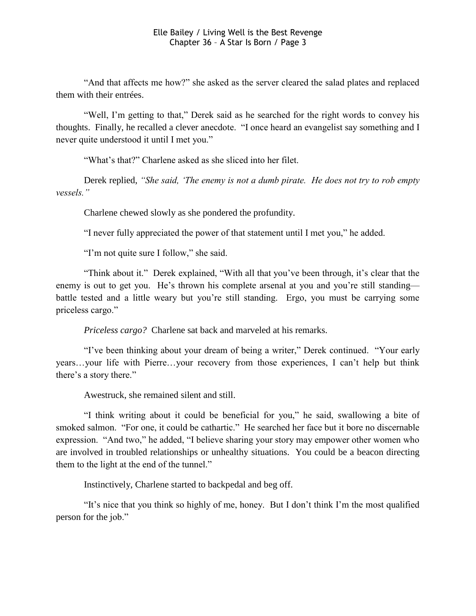"And that affects me how?" she asked as the server cleared the salad plates and replaced them with their entrées.

"Well, I'm getting to that," Derek said as he searched for the right words to convey his thoughts. Finally, he recalled a clever anecdote. "I once heard an evangelist say something and I never quite understood it until I met you."

"What's that?" Charlene asked as she sliced into her filet.

Derek replied, *"She said, "The enemy is not a dumb pirate. He does not try to rob empty vessels."*

Charlene chewed slowly as she pondered the profundity.

"I never fully appreciated the power of that statement until I met you," he added.

"I'm not quite sure I follow," she said.

"Think about it." Derek explained, "With all that you"ve been through, it"s clear that the enemy is out to get you. He's thrown his complete arsenal at you and you're still standing battle tested and a little weary but you"re still standing. Ergo, you must be carrying some priceless cargo."

*Priceless cargo?* Charlene sat back and marveled at his remarks.

"I"ve been thinking about your dream of being a writer," Derek continued. "Your early years…your life with Pierre…your recovery from those experiences, I can"t help but think there's a story there."

Awestruck, she remained silent and still.

"I think writing about it could be beneficial for you," he said, swallowing a bite of smoked salmon. "For one, it could be cathartic." He searched her face but it bore no discernable expression. "And two," he added, "I believe sharing your story may empower other women who are involved in troubled relationships or unhealthy situations. You could be a beacon directing them to the light at the end of the tunnel."

Instinctively, Charlene started to backpedal and beg off.

"It"s nice that you think so highly of me, honey. But I don"t think I"m the most qualified person for the job."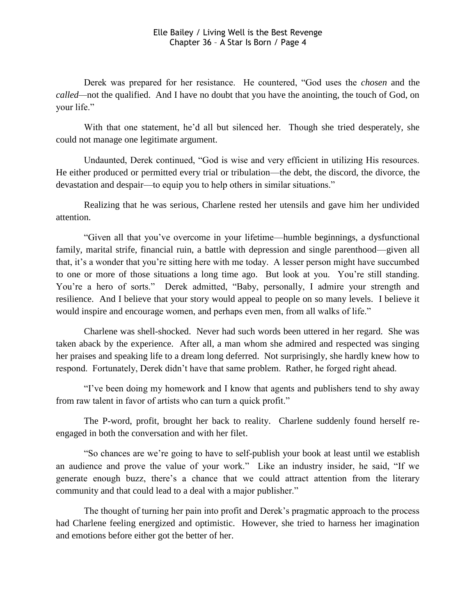Derek was prepared for her resistance. He countered, "God uses the *chosen* and the *called—*not the qualified. And I have no doubt that you have the anointing, the touch of God, on your life."

With that one statement, he'd all but silenced her. Though she tried desperately, she could not manage one legitimate argument.

Undaunted, Derek continued, "God is wise and very efficient in utilizing His resources. He either produced or permitted every trial or tribulation—the debt, the discord, the divorce, the devastation and despair—to equip you to help others in similar situations."

Realizing that he was serious, Charlene rested her utensils and gave him her undivided attention.

"Given all that you"ve overcome in your lifetime—humble beginnings, a dysfunctional family, marital strife, financial ruin, a battle with depression and single parenthood—given all that, it"s a wonder that you"re sitting here with me today. A lesser person might have succumbed to one or more of those situations a long time ago. But look at you. You"re still standing. You"re a hero of sorts." Derek admitted, "Baby, personally, I admire your strength and resilience. And I believe that your story would appeal to people on so many levels. I believe it would inspire and encourage women, and perhaps even men, from all walks of life."

Charlene was shell-shocked. Never had such words been uttered in her regard. She was taken aback by the experience. After all, a man whom she admired and respected was singing her praises and speaking life to a dream long deferred. Not surprisingly, she hardly knew how to respond. Fortunately, Derek didn"t have that same problem. Rather, he forged right ahead.

"I"ve been doing my homework and I know that agents and publishers tend to shy away from raw talent in favor of artists who can turn a quick profit."

The P-word, profit, brought her back to reality. Charlene suddenly found herself reengaged in both the conversation and with her filet.

"So chances are we"re going to have to self-publish your book at least until we establish an audience and prove the value of your work." Like an industry insider, he said, "If we generate enough buzz, there"s a chance that we could attract attention from the literary community and that could lead to a deal with a major publisher."

The thought of turning her pain into profit and Derek"s pragmatic approach to the process had Charlene feeling energized and optimistic. However, she tried to harness her imagination and emotions before either got the better of her.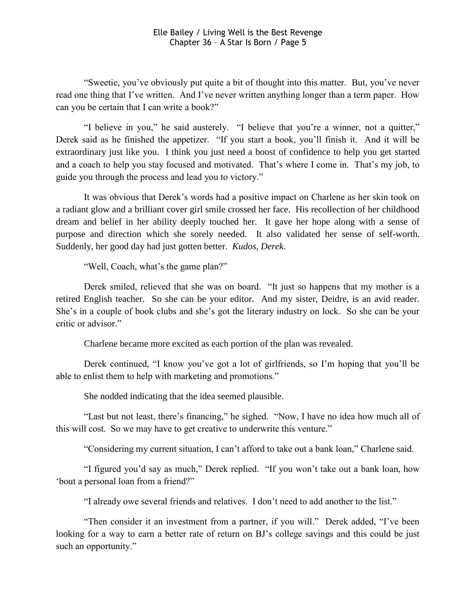"Sweetie, you"ve obviously put quite a bit of thought into this matter. But, you"ve never read one thing that I've written. And I've never written anything longer than a term paper. How can you be certain that I can write a book?"

"I believe in you," he said austerely. "I believe that you"re a winner, not a quitter," Derek said as he finished the appetizer. "If you start a book, you"ll finish it. And it will be extraordinary just like you. I think you just need a boost of confidence to help you get started and a coach to help you stay focused and motivated. That's where I come in. That's my job, to guide you through the process and lead you to victory."

It was obvious that Derek"s words had a positive impact on Charlene as her skin took on a radiant glow and a brilliant cover girl smile crossed her face. His recollection of her childhood dream and belief in her ability deeply touched her. It gave her hope along with a sense of purpose and direction which she sorely needed. It also validated her sense of self-worth. Suddenly, her good day had just gotten better. *Kudos, Derek*.

"Well, Coach, what's the game plan?"

Derek smiled, relieved that she was on board. "It just so happens that my mother is a retired English teacher. So she can be your editor. And my sister, Deidre, is an avid reader. She's in a couple of book clubs and she's got the literary industry on lock. So she can be your critic or advisor."

Charlene became more excited as each portion of the plan was revealed.

Derek continued, "I know you"ve got a lot of girlfriends, so I"m hoping that you"ll be able to enlist them to help with marketing and promotions."

She nodded indicating that the idea seemed plausible.

"Last but not least, there"s financing," he sighed. "Now, I have no idea how much all of this will cost. So we may have to get creative to underwrite this venture."

"Considering my current situation, I can"t afford to take out a bank loan," Charlene said.

"I figured you"d say as much," Derek replied. "If you won"t take out a bank loan, how "bout a personal loan from a friend?"

"I already owe several friends and relatives. I don"t need to add another to the list."

"Then consider it an investment from a partner, if you will." Derek added, "I"ve been looking for a way to earn a better rate of return on BJ"s college savings and this could be just such an opportunity."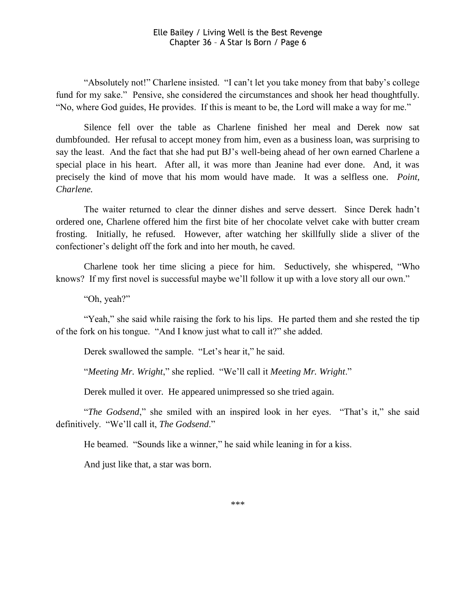"Absolutely not!" Charlene insisted. "I can't let you take money from that baby's college fund for my sake." Pensive, she considered the circumstances and shook her head thoughtfully. "No, where God guides, He provides. If this is meant to be, the Lord will make a way for me."

Silence fell over the table as Charlene finished her meal and Derek now sat dumbfounded. Her refusal to accept money from him, even as a business loan, was surprising to say the least. And the fact that she had put BJ"s well-being ahead of her own earned Charlene a special place in his heart. After all, it was more than Jeanine had ever done. And, it was precisely the kind of move that his mom would have made. It was a selfless one. *Point, Charlene.*

The waiter returned to clear the dinner dishes and serve dessert. Since Derek hadn"t ordered one, Charlene offered him the first bite of her chocolate velvet cake with butter cream frosting. Initially, he refused. However, after watching her skillfully slide a sliver of the confectioner"s delight off the fork and into her mouth, he caved.

Charlene took her time slicing a piece for him. Seductively, she whispered, "Who knows? If my first novel is successful maybe we'll follow it up with a love story all our own."

"Oh, yeah?"

"Yeah," she said while raising the fork to his lips. He parted them and she rested the tip of the fork on his tongue. "And I know just what to call it?" she added.

Derek swallowed the sample. "Let's hear it," he said.

"*Meeting Mr. Wright*," she replied. "We"ll call it *Meeting Mr. Wright*."

Derek mulled it over. He appeared unimpressed so she tried again.

"*The Godsend*," she smiled with an inspired look in her eyes. "That"s it," she said definitively. "We"ll call it, *The Godsend*."

He beamed. "Sounds like a winner," he said while leaning in for a kiss.

And just like that, a star was born.

\*\*\*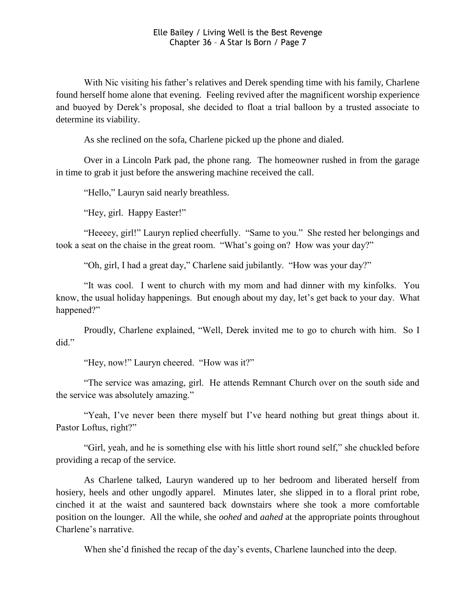With Nic visiting his father's relatives and Derek spending time with his family, Charlene found herself home alone that evening. Feeling revived after the magnificent worship experience and buoyed by Derek"s proposal, she decided to float a trial balloon by a trusted associate to determine its viability.

As she reclined on the sofa, Charlene picked up the phone and dialed.

Over in a Lincoln Park pad, the phone rang. The homeowner rushed in from the garage in time to grab it just before the answering machine received the call.

"Hello," Lauryn said nearly breathless.

"Hey, girl. Happy Easter!"

"Heeeey, girl!" Lauryn replied cheerfully. "Same to you." She rested her belongings and took a seat on the chaise in the great room. "What's going on? How was your day?"

"Oh, girl, I had a great day," Charlene said jubilantly. "How was your day?"

"It was cool. I went to church with my mom and had dinner with my kinfolks. You know, the usual holiday happenings. But enough about my day, let"s get back to your day. What happened?"

Proudly, Charlene explained, "Well, Derek invited me to go to church with him. So I did."

"Hey, now!" Lauryn cheered. "How was it?"

"The service was amazing, girl. He attends Remnant Church over on the south side and the service was absolutely amazing."

"Yeah, I've never been there myself but I've heard nothing but great things about it. Pastor Loftus, right?"

"Girl, yeah, and he is something else with his little short round self," she chuckled before providing a recap of the service.

As Charlene talked, Lauryn wandered up to her bedroom and liberated herself from hosiery, heels and other ungodly apparel. Minutes later, she slipped in to a floral print robe, cinched it at the waist and sauntered back downstairs where she took a more comfortable position on the lounger. All the while, she *oohed* and *aahed* at the appropriate points throughout Charlene"s narrative.

When she'd finished the recap of the day's events, Charlene launched into the deep.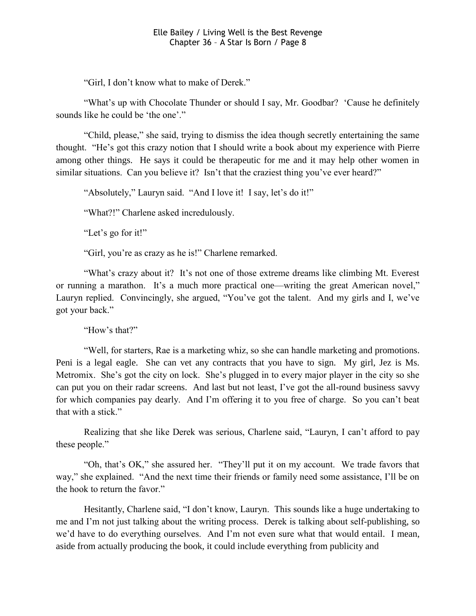"Girl, I don"t know what to make of Derek."

"What's up with Chocolate Thunder or should I say, Mr. Goodbar? 'Cause he definitely sounds like he could be 'the one'."

"Child, please," she said, trying to dismiss the idea though secretly entertaining the same thought. "He"s got this crazy notion that I should write a book about my experience with Pierre among other things. He says it could be therapeutic for me and it may help other women in similar situations. Can you believe it? Isn't that the craziest thing you've ever heard?"

"Absolutely," Lauryn said. "And I love it! I say, let's do it!"

"What?!" Charlene asked incredulously.

"Let's go for it!"

"Girl, you"re as crazy as he is!" Charlene remarked.

"What's crazy about it? It's not one of those extreme dreams like climbing Mt. Everest or running a marathon. It's a much more practical one—writing the great American novel," Lauryn replied. Convincingly, she argued, "You've got the talent. And my girls and I, we've got your back."

"How"s that?"

"Well, for starters, Rae is a marketing whiz, so she can handle marketing and promotions. Peni is a legal eagle. She can vet any contracts that you have to sign. My girl, Jez is Ms. Metromix. She's got the city on lock. She's plugged in to every major player in the city so she can put you on their radar screens. And last but not least, I"ve got the all-round business savvy for which companies pay dearly. And I"m offering it to you free of charge. So you can"t beat that with a stick."

Realizing that she like Derek was serious, Charlene said, "Lauryn, I can"t afford to pay these people."

"Oh, that"s OK," she assured her. "They"ll put it on my account. We trade favors that way," she explained. "And the next time their friends or family need some assistance, I"ll be on the hook to return the favor."

Hesitantly, Charlene said, "I don't know, Lauryn. This sounds like a huge undertaking to me and I"m not just talking about the writing process. Derek is talking about self-publishing, so we"d have to do everything ourselves. And I"m not even sure what that would entail. I mean, aside from actually producing the book, it could include everything from publicity and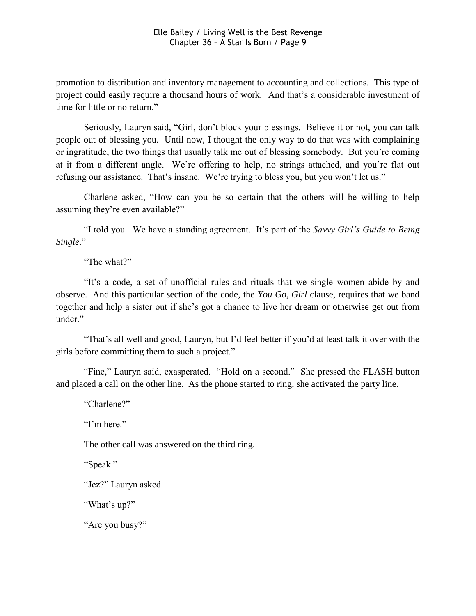promotion to distribution and inventory management to accounting and collections. This type of project could easily require a thousand hours of work. And that's a considerable investment of time for little or no return."

Seriously, Lauryn said, "Girl, don"t block your blessings. Believe it or not, you can talk people out of blessing you. Until now, I thought the only way to do that was with complaining or ingratitude, the two things that usually talk me out of blessing somebody. But you"re coming at it from a different angle. We"re offering to help, no strings attached, and you"re flat out refusing our assistance. That's insane. We're trying to bless you, but you won't let us."

Charlene asked, "How can you be so certain that the others will be willing to help assuming they're even available?"

"I told you. We have a standing agreement. It"s part of the *Savvy Girl"s Guide to Being Single*."

"The what?"

"It"s a code, a set of unofficial rules and rituals that we single women abide by and observe. And this particular section of the code, the *You Go, Girl* clause, requires that we band together and help a sister out if she"s got a chance to live her dream or otherwise get out from under."

"That's all well and good, Lauryn, but I'd feel better if you'd at least talk it over with the girls before committing them to such a project."

"Fine," Lauryn said, exasperated. "Hold on a second." She pressed the FLASH button and placed a call on the other line. As the phone started to ring, she activated the party line.

"Charlene?"

"I'm here."

The other call was answered on the third ring.

"Speak."

"Jez?" Lauryn asked.

"What's up?"

"Are you busy?"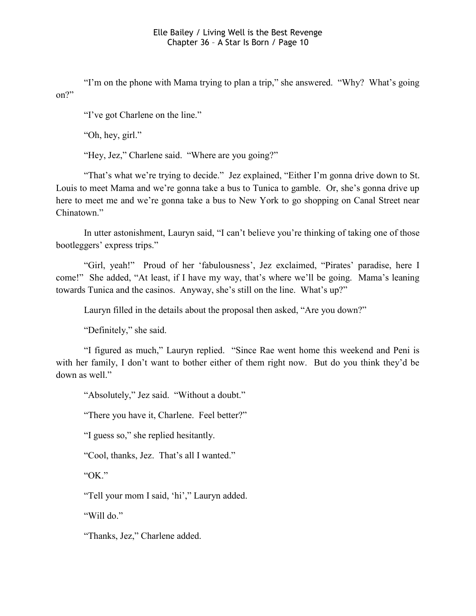"I"m on the phone with Mama trying to plan a trip," she answered. "Why? What"s going on?"

"I've got Charlene on the line."

"Oh, hey, girl."

"Hey, Jez," Charlene said. "Where are you going?"

"That's what we're trying to decide." Jez explained, "Either I'm gonna drive down to St. Louis to meet Mama and we're gonna take a bus to Tunica to gamble. Or, she's gonna drive up here to meet me and we"re gonna take a bus to New York to go shopping on Canal Street near Chinatown."

In utter astonishment, Lauryn said, "I can't believe you're thinking of taking one of those bootleggers' express trips."

"Girl, yeah!" Proud of her 'fabulousness', Jez exclaimed, "Pirates' paradise, here I come!" She added, "At least, if I have my way, that's where we'll be going. Mama's leaning towards Tunica and the casinos. Anyway, she's still on the line. What's up?"

Lauryn filled in the details about the proposal then asked, "Are you down?"

"Definitely," she said.

"I figured as much," Lauryn replied. "Since Rae went home this weekend and Peni is with her family, I don't want to bother either of them right now. But do you think they'd be down as well."

"Absolutely," Jez said. "Without a doubt."

"There you have it, Charlene. Feel better?"

"I guess so," she replied hesitantly.

"Cool, thanks, Jez. That's all I wanted."

"OK."

"Tell your mom I said, 'hi'," Lauryn added.

"Will do."

"Thanks, Jez," Charlene added.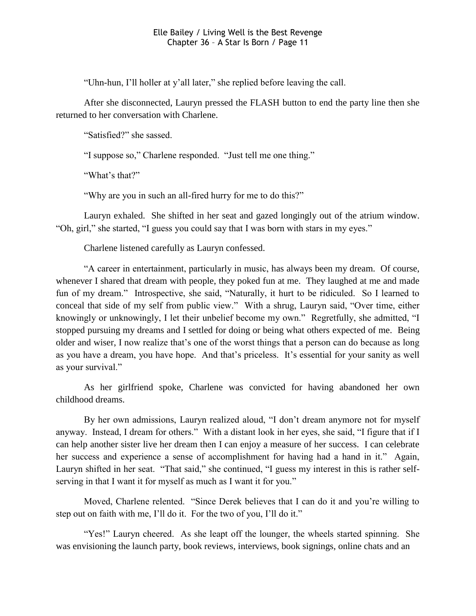"Uhn-hun, I"ll holler at y"all later," she replied before leaving the call.

After she disconnected, Lauryn pressed the FLASH button to end the party line then she returned to her conversation with Charlene.

"Satisfied?" she sassed.

"I suppose so," Charlene responded. "Just tell me one thing."

"What's that?"

"Why are you in such an all-fired hurry for me to do this?"

Lauryn exhaled. She shifted in her seat and gazed longingly out of the atrium window. "Oh, girl," she started, "I guess you could say that I was born with stars in my eyes."

Charlene listened carefully as Lauryn confessed.

"A career in entertainment, particularly in music, has always been my dream. Of course, whenever I shared that dream with people, they poked fun at me. They laughed at me and made fun of my dream." Introspective, she said, "Naturally, it hurt to be ridiculed. So I learned to conceal that side of my self from public view." With a shrug, Lauryn said, "Over time, either knowingly or unknowingly, I let their unbelief become my own." Regretfully, she admitted, "I stopped pursuing my dreams and I settled for doing or being what others expected of me. Being older and wiser, I now realize that"s one of the worst things that a person can do because as long as you have a dream, you have hope. And that's priceless. It's essential for your sanity as well as your survival."

As her girlfriend spoke, Charlene was convicted for having abandoned her own childhood dreams.

By her own admissions, Lauryn realized aloud, "I don"t dream anymore not for myself anyway. Instead, I dream for others." With a distant look in her eyes, she said, "I figure that if I can help another sister live her dream then I can enjoy a measure of her success. I can celebrate her success and experience a sense of accomplishment for having had a hand in it." Again, Lauryn shifted in her seat. "That said," she continued, "I guess my interest in this is rather selfserving in that I want it for myself as much as I want it for you."

Moved, Charlene relented. "Since Derek believes that I can do it and you"re willing to step out on faith with me, I"ll do it. For the two of you, I"ll do it."

"Yes!" Lauryn cheered. As she leapt off the lounger, the wheels started spinning. She was envisioning the launch party, book reviews, interviews, book signings, online chats and an